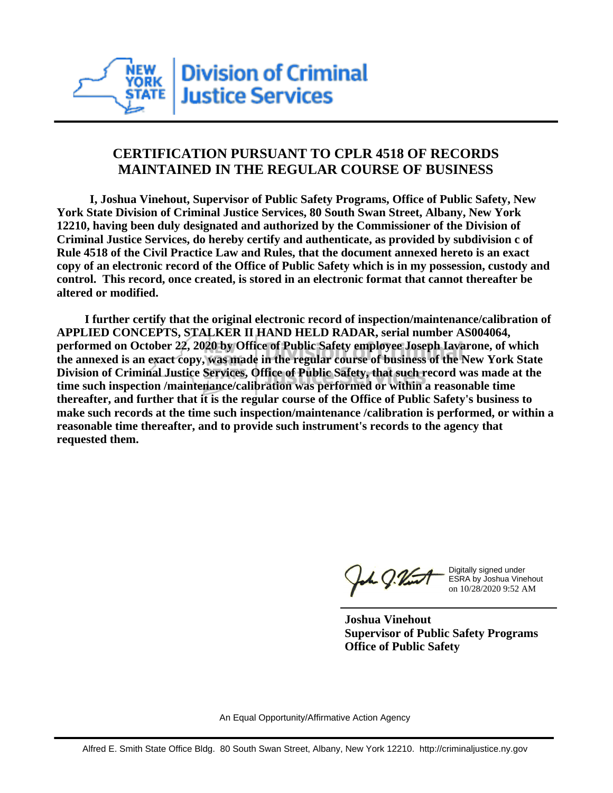

## **CERTIFICATION PURSUANT TO CPLR 4518 OF RECORDS MAINTAINED IN THE REGULAR COURSE OF BUSINESS**

 **I, Joshua Vinehout, Supervisor of Public Safety Programs, Office of Public Safety, New York State Division of Criminal Justice Services, 80 South Swan Street, Albany, New York 12210, having been duly designated and authorized by the Commissioner of the Division of Criminal Justice Services, do hereby certify and authenticate, as provided by subdivision c of Rule 4518 of the Civil Practice Law and Rules, that the document annexed hereto is an exact copy of an electronic record of the Office of Public Safety which is in my possession, custody and control. This record, once created, is stored in an electronic format that cannot thereafter be altered or modified.**

 **I further certify that the original electronic record of inspection/maintenance/calibration of APPLIED CONCEPTS, STALKER II HAND HELD RADAR, serial number AS004064, performed on October 22, 2020 by Office of Public Safety employee Joseph Iavarone, of which the annexed is an exact copy, was made in the regular course of business of the New York State Division of Criminal Justice Services, Office of Public Safety, that such record was made at the time such inspection /maintenance/calibration was performed or within a reasonable time thereafter, and further that it is the regular course of the Office of Public Safety's business to make such records at the time such inspection/maintenance /calibration is performed, or within a reasonable time thereafter, and to provide such instrument's records to the agency that requested them.**

h J.Vint

Digitally signed under ESRA by Joshua Vinehout on 10/28/2020 9:52 AM

**Joshua Vinehout Supervisor of Public Safety Programs Office of Public Safety**

An Equal Opportunity/Affirmative Action Agency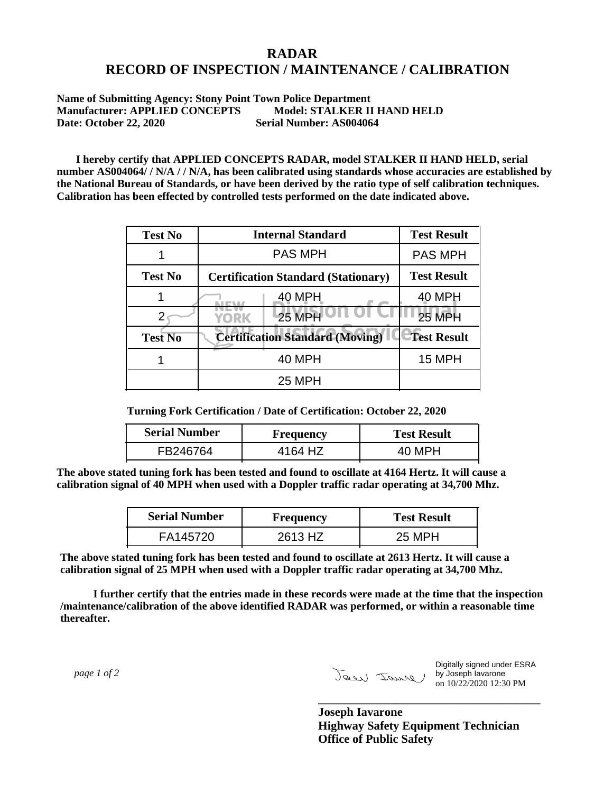## **RADAR RECORD OF INSPECTION / MAINTENANCE / CALIBRATION**

**Name of Submitting Agency: Stony Point Town Police Department Manufacturer: APPLIED CONCEPTS Model: STALKER II HAND HELD Date: October 22, 2020 Serial Number: AS004064**

 **I hereby certify that APPLIED CONCEPTS RADAR, model STALKER II HAND HELD, serial number AS004064/ / N/A / / N/A, has been calibrated using standards whose accuracies are established by the National Bureau of Standards, or have been derived by the ratio type of self calibration techniques. Calibration has been effected by controlled tests performed on the date indicated above.**

| <b>Test No</b> | <b>Internal Standard</b>                   | <b>Test Result</b> |
|----------------|--------------------------------------------|--------------------|
|                | <b>PAS MPH</b>                             | <b>PAS MPH</b>     |
| <b>Test No</b> | <b>Certification Standard (Stationary)</b> | <b>Test Result</b> |
|                | 40 MPH                                     | <b>40 MPH</b>      |
|                | 25 MPH<br><b>YORK</b>                      | <b>25 MPH</b>      |
| <b>Test No</b> | <b>Certification Standard (Moving)</b>     | <b>Test Result</b> |
|                | <b>40 MPH</b>                              | 15 MPH             |
|                | <b>25 MPH</b>                              |                    |

**Turning Fork Certification / Date of Certification: October 22, 2020**

| <b>Serial Number</b> | <b>Frequency</b> | <b>Test Result</b> |
|----------------------|------------------|--------------------|
| FB246764             | 4164 HZ          | 40 MPH             |

**The above stated tuning fork has been tested and found to oscillate at 4164 Hertz. It will cause a calibration signal of 40 MPH when used with a Doppler traffic radar operating at 34,700 Mhz.**

| <b>Serial Number</b> | Frequency | <b>Test Result</b> |
|----------------------|-----------|--------------------|
| FA145720             | 2613 HZ   | 25 MPH             |

**The above stated tuning fork has been tested and found to oscillate at 2613 Hertz. It will cause a calibration signal of 25 MPH when used with a Doppler traffic radar operating at 34,700 Mhz.**

 **I further certify that the entries made in these records were made at the time that the inspection /maintenance/calibration of the above identified RADAR was performed, or within a reasonable time thereafter.**

 *page 1 of 2* 

Digitally signed under ESRA by Joseph Iavarone on 10/22/2020 12:30 PM

**Joseph Iavarone Highway Safety Equipment Technician Office of Public Safety**

**\_\_\_\_\_\_\_\_\_\_\_\_\_\_\_\_\_\_\_\_\_\_\_\_\_\_\_\_\_\_\_\_\_\_\_\_\_**